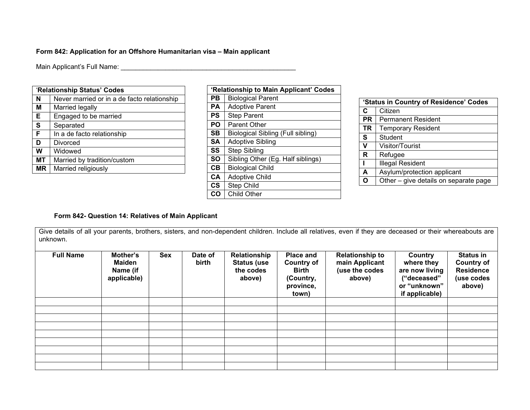### **Form 842: Application for an Offshore Humanitarian visa – Main applicant**

Main Applicant's Full Name: \_\_\_\_\_\_\_\_\_\_\_\_\_\_\_\_\_\_\_\_\_\_\_\_\_\_\_\_\_\_\_\_\_\_\_\_\_\_\_\_\_\_\_\_\_\_\_

|    | 'Relationship Status' Codes                 |
|----|---------------------------------------------|
| N  | Never married or in a de facto relationship |
| M  | Married legally                             |
| E  | Engaged to be married                       |
| S  | Separated                                   |
| F  | In a de facto relationship                  |
| D  | Divorced                                    |
| W  | Widowed                                     |
| МT | Married by tradition/custom                 |
| ΜR | Married religiously                         |
|    |                                             |

|               | 'Relationship to Main Applicant' Codes |
|---------------|----------------------------------------|
| PВ            | <b>Biological Parent</b>               |
| PА            | <b>Adoptive Parent</b>                 |
| <b>PS</b>     | <b>Step Parent</b>                     |
| PO            | Parent Other                           |
| SB            | Biological Sibling (Full sibling)      |
| <b>SA</b>     | <b>Adoptive Sibling</b>                |
| SS            | Step Sibling                           |
| <b>SO</b>     | Sibling Other (Eg. Half siblings)      |
| CB            | <b>Biological Child</b>                |
| <b>CA</b>     | <b>Adoptive Child</b>                  |
| $\mathsf{cs}$ | <b>Step Child</b>                      |
| CO            | <b>Child Other</b>                     |

|     | 'Status in Country of Residence' Codes |  |  |  |  |  |
|-----|----------------------------------------|--|--|--|--|--|
| C   | Citizen                                |  |  |  |  |  |
| PR. | <b>Permanent Resident</b>              |  |  |  |  |  |
| TR  | <b>Temporary Resident</b>              |  |  |  |  |  |
| S   | Student                                |  |  |  |  |  |
| v   | Visitor/Tourist                        |  |  |  |  |  |
| R   | Refugee                                |  |  |  |  |  |
|     | Illegal Resident                       |  |  |  |  |  |
| A   | Asylum/protection applicant            |  |  |  |  |  |
|     | Other - give details on separate page  |  |  |  |  |  |
|     |                                        |  |  |  |  |  |

## **Form 842- Question 14: Relatives of Main Applicant**

Give details of all your parents, brothers, sisters, and non-dependent children. Include all relatives, even if they are deceased or their whereabouts are unknown.

| <b>Full Name</b> | Mother's<br><b>Maiden</b><br>Name (if<br>applicable) | Sex | Date of<br>birth | Relationship<br><b>Status (use</b><br>the codes<br>above) | Place and<br><b>Country of</b><br><b>Birth</b><br>(Country,<br>province,<br>town) | <b>Relationship to</b><br>main Applicant<br>(use the codes<br>above) | Country<br>where they<br>are now living<br>("deceased"<br>or "unknown"<br>if applicable) | <b>Status in</b><br><b>Country of</b><br><b>Residence</b><br>(use codes<br>above) |
|------------------|------------------------------------------------------|-----|------------------|-----------------------------------------------------------|-----------------------------------------------------------------------------------|----------------------------------------------------------------------|------------------------------------------------------------------------------------------|-----------------------------------------------------------------------------------|
|                  |                                                      |     |                  |                                                           |                                                                                   |                                                                      |                                                                                          |                                                                                   |
|                  |                                                      |     |                  |                                                           |                                                                                   |                                                                      |                                                                                          |                                                                                   |
|                  |                                                      |     |                  |                                                           |                                                                                   |                                                                      |                                                                                          |                                                                                   |
|                  |                                                      |     |                  |                                                           |                                                                                   |                                                                      |                                                                                          |                                                                                   |
|                  |                                                      |     |                  |                                                           |                                                                                   |                                                                      |                                                                                          |                                                                                   |
|                  |                                                      |     |                  |                                                           |                                                                                   |                                                                      |                                                                                          |                                                                                   |
|                  |                                                      |     |                  |                                                           |                                                                                   |                                                                      |                                                                                          |                                                                                   |
|                  |                                                      |     |                  |                                                           |                                                                                   |                                                                      |                                                                                          |                                                                                   |
|                  |                                                      |     |                  |                                                           |                                                                                   |                                                                      |                                                                                          |                                                                                   |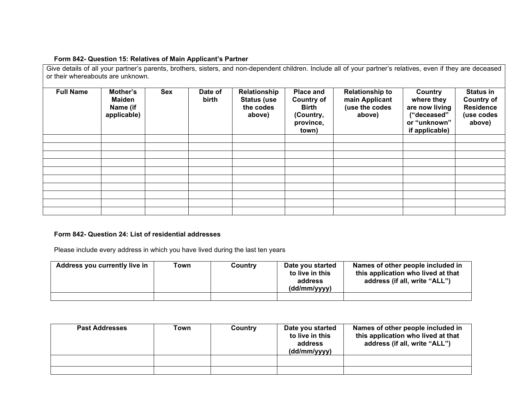### **Form 842- Question 15: Relatives of Main Applicant's Partner**

Give details of all your partner's parents, brothers, sisters, and non-dependent children. Include all of your partner's relatives, even if they are deceased or their whereabouts are unknown.

| <b>Full Name</b> | Mother's<br>Maiden<br>Name (if<br>applicable) | <b>Sex</b> | Date of<br>birth | Relationship<br><b>Status (use</b><br>the codes<br>above) | Place and<br><b>Country of</b><br><b>Birth</b><br>(Country,<br>province,<br>town) | <b>Relationship to</b><br>main Applicant<br>(use the codes<br>above) | Country<br>where they<br>are now living<br>("deceased"<br>or "unknown"<br>if applicable) | <b>Status in</b><br><b>Country of</b><br><b>Residence</b><br>(use codes<br>above) |
|------------------|-----------------------------------------------|------------|------------------|-----------------------------------------------------------|-----------------------------------------------------------------------------------|----------------------------------------------------------------------|------------------------------------------------------------------------------------------|-----------------------------------------------------------------------------------|
|                  |                                               |            |                  |                                                           |                                                                                   |                                                                      |                                                                                          |                                                                                   |
|                  |                                               |            |                  |                                                           |                                                                                   |                                                                      |                                                                                          |                                                                                   |
|                  |                                               |            |                  |                                                           |                                                                                   |                                                                      |                                                                                          |                                                                                   |
|                  |                                               |            |                  |                                                           |                                                                                   |                                                                      |                                                                                          |                                                                                   |
|                  |                                               |            |                  |                                                           |                                                                                   |                                                                      |                                                                                          |                                                                                   |
|                  |                                               |            |                  |                                                           |                                                                                   |                                                                      |                                                                                          |                                                                                   |
|                  |                                               |            |                  |                                                           |                                                                                   |                                                                      |                                                                                          |                                                                                   |
|                  |                                               |            |                  |                                                           |                                                                                   |                                                                      |                                                                                          |                                                                                   |
|                  |                                               |            |                  |                                                           |                                                                                   |                                                                      |                                                                                          |                                                                                   |
|                  |                                               |            |                  |                                                           |                                                                                   |                                                                      |                                                                                          |                                                                                   |

### **Form 842- Question 24: List of residential addresses**

Please include every address in which you have lived during the last ten years

| Address you currently live in | Town | Country | Date you started<br>to live in this<br>address<br>(dd/mm/yyyy) | Names of other people included in<br>this application who lived at that<br>address (if all, write "ALL") |
|-------------------------------|------|---------|----------------------------------------------------------------|----------------------------------------------------------------------------------------------------------|
|                               |      |         |                                                                |                                                                                                          |

| <b>Past Addresses</b> | Town | Country | Date you started<br>to live in this<br>address<br>(dd/mm/yyyy) | Names of other people included in<br>this application who lived at that<br>address (if all, write "ALL") |
|-----------------------|------|---------|----------------------------------------------------------------|----------------------------------------------------------------------------------------------------------|
|                       |      |         |                                                                |                                                                                                          |
|                       |      |         |                                                                |                                                                                                          |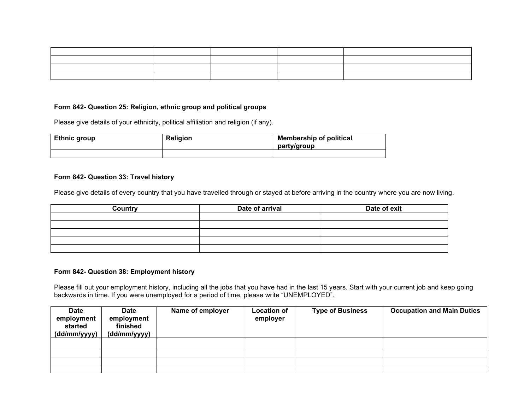| the control of the control of the control of |  |  |
|----------------------------------------------|--|--|
|                                              |  |  |
|                                              |  |  |
|                                              |  |  |

#### **Form 842- Question 25: Religion, ethnic group and political groups**

Please give details of your ethnicity, political affiliation and religion (if any).

| <b>Ethnic group</b> | <b>Religion</b> | <b>Membership of political</b><br>party/group |
|---------------------|-----------------|-----------------------------------------------|
|                     |                 |                                               |

#### **Form 842- Question 33: Travel history**

Please give details of every country that you have travelled through or stayed at before arriving in the country where you are now living.

| Country | Date of arrival | Date of exit |
|---------|-----------------|--------------|
|         |                 |              |
|         |                 |              |
|         |                 |              |
|         |                 |              |
|         |                 |              |

#### **Form 842- Question 38: Employment history**

Please fill out your employment history, including all the jobs that you have had in the last 15 years. Start with your current job and keep going backwards in time. If you were unemployed for a period of time, please write "UNEMPLOYED".

| <b>Date</b><br>employment<br>started<br>(dd/mm/yyyy) | <b>Date</b><br>employment<br>finished<br>(dd/mm/yyyy) | Name of employer | <b>Location of</b><br>employer | <b>Type of Business</b> | <b>Occupation and Main Duties</b> |
|------------------------------------------------------|-------------------------------------------------------|------------------|--------------------------------|-------------------------|-----------------------------------|
|                                                      |                                                       |                  |                                |                         |                                   |
|                                                      |                                                       |                  |                                |                         |                                   |
|                                                      |                                                       |                  |                                |                         |                                   |
|                                                      |                                                       |                  |                                |                         |                                   |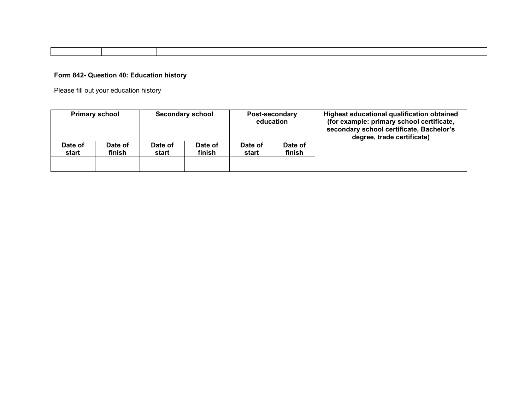# **Form 842- Question 40: Education history**

Please fill out your education history

| <b>Primary school</b>                 | <b>Secondary school</b> |                   | <b>Post-secondary</b><br>education |                   | Highest educational qualification obtained<br>(for example: primary school certificate,<br>secondary school certificate, Bachelor's<br>degree, trade certificate) |
|---------------------------------------|-------------------------|-------------------|------------------------------------|-------------------|-------------------------------------------------------------------------------------------------------------------------------------------------------------------|
| Date of<br>Date of<br>finish<br>start | Date of<br>start        | Date of<br>finish | Date of<br>start                   | Date of<br>finish |                                                                                                                                                                   |